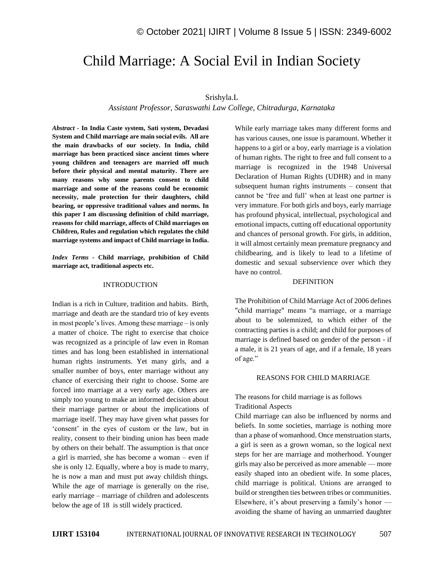# Child Marriage: A Social Evil in Indian Society

# Srishyla.L

*Assistant Professor, Saraswathi Law College, Chitradurga, Karnataka* 

*Abstract -* **In India Caste system, Sati system, Devadasi System and Child marriage are main social evils. All are the main drawbacks of our society. In India, child marriage has been practiced since ancient times where young children and teenagers are married off much before their physical and mental maturity. There are many reasons why some parents consent to child marriage and some of the reasons could be economic necessity, male protection for their daughters, child bearing, or oppressive traditional values and norms. In this paper I am discussing definition of child marriage, reasons for child marriage, affects of Child marriages on Children, Rules and regulation which regulates the child marriage systems and impact of Child marriage in India.** 

*Index Terms -* **Child marriage, prohibition of Child marriage act, traditional aspects etc.**

#### INTRODUCTION

Indian is a rich in Culture, tradition and habits. Birth, marriage and death are the standard trio of key events in most people's lives. Among these marriage – is only a matter of choice. The right to exercise that choice was recognized as a principle of law even in Roman times and has long been established in international human rights instruments. Yet many girls, and a smaller number of boys, enter marriage without any chance of exercising their right to choose. Some are forced into marriage at a very early age. Others are simply too young to make an informed decision about their marriage partner or about the implications of marriage itself. They may have given what passes for 'consent' in the eyes of custom or the law, but in reality, consent to their binding union has been made by others on their behalf. The assumption is that once a girl is married, she has become a woman – even if she is only 12. Equally, where a boy is made to marry, he is now a man and must put away childish things. While the age of marriage is generally on the rise, early marriage – marriage of children and adolescents below the age of 18 is still widely practiced.

While early marriage takes many different forms and has various causes, one issue is paramount. Whether it happens to a girl or a boy, early marriage is a violation of human rights. The right to free and full consent to a marriage is recognized in the 1948 Universal Declaration of Human Rights (UDHR) and in many subsequent human rights instruments – consent that cannot be 'free and full' when at least one partner is very immature. For both girls and boys, early marriage has profound physical, intellectual, psychological and emotional impacts, cutting off educational opportunity and chances of personal growth. For girls, in addition, it will almost certainly mean premature pregnancy and childbearing, and is likely to lead to a lifetime of domestic and sexual subservience over which they have no control.

#### DEFINITION

The Prohibition of Child Marriage Act of 2006 defines "child marriage" means "a marriage, or a marriage about to be solemnized, to which either of the contracting parties is a child; and child for purposes of marriage is defined based on gender of the person - if a male, it is 21 years of age, and if a female, 18 years of age."

#### REASONS FOR CHILD MARRIAGE

# The reasons for child marriage is as follows Traditional Aspects

Child marriage can also be influenced by norms and beliefs. In some societies, marriage is nothing more than a phase of womanhood. Once menstruation starts, a girl is seen as a grown woman, so the logical next steps for her are marriage and motherhood. Younger girls may also be perceived as more amenable — more easily shaped into an obedient wife. In some places, child marriage is political. Unions are arranged to build or strengthen ties between tribes or communities. Elsewhere, it's about preserving a family's honor avoiding the shame of having an unmarried daughter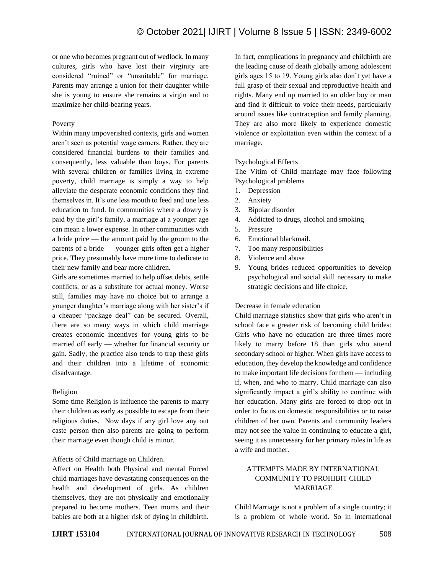or one who becomes pregnant out of wedlock. In many cultures, girls who have lost their virginity are considered "ruined" or "unsuitable" for marriage. Parents may arrange a union for their daughter while she is young to ensure she remains a virgin and to maximize her child-bearing years.

# Poverty

Within many impoverished contexts, girls and women aren't seen as potential wage earners. Rather, they are considered financial burdens to their families and consequently, less valuable than boys. For parents with several children or families living in extreme poverty, child marriage is simply a way to help alleviate the desperate economic conditions they find themselves in. It's one less mouth to feed and one less education to fund. In communities where a dowry is paid by the girl's family, a marriage at a younger age can mean a lower expense. In other communities with a bride price — the amount paid by the groom to the parents of a bride — younger girls often get a higher price. They presumably have more time to dedicate to their new family and bear more children.

Girls are sometimes married to help offset debts, settle conflicts, or as a substitute for actual money. Worse still, families may have no choice but to arrange a younger daughter's marriage along with her sister's if a cheaper "package deal" can be secured. Overall, there are so many ways in which child marriage creates economic incentives for young girls to be married off early — whether for financial security or gain. Sadly, the practice also tends to trap these girls and their children into a lifetime of economic disadvantage.

### Religion

Some time Religion is influence the parents to marry their children as early as possible to escape from their religious duties. Now days if any girl love any out caste person then also parents are going to perform their marriage even though child is minor.

# Affects of Child marriage on Children.

Affect on Health both Physical and mental Forced child marriages have devastating consequences on the health and development of girls. As children themselves, they are not physically and emotionally prepared to become mothers. Teen moms and their babies are both at a higher risk of dying in childbirth. In fact, complications in pregnancy and childbirth are the leading cause of death globally among adolescent girls ages 15 to 19. Young girls also don't yet have a full grasp of their sexual and reproductive health and rights. Many end up married to an older boy or man and find it difficult to voice their needs, particularly around issues like contraception and family planning. They are also more likely to experience domestic violence or exploitation even within the context of a marriage.

# Psychological Effects

The Vitim of Child marriage may face following Psychological problems

- 1. Depression
- 2. Anxiety
- 3. Bipolar disorder
- 4. Addicted to drugs, alcohol and smoking
- 5. Pressure
- 6. Emotional blackmail.
- 7. Too many responsibilities
- 8. Violence and abuse
- 9. Young brides reduced opportunities to develop psychological and social skill necessary to make strategic decisions and life choice.

### Decrease in female education

Child marriage statistics show that girls who aren't in school face a greater risk of becoming child brides: Girls who have no education are three times more likely to marry before 18 than girls who attend secondary school or higher. When girls have access to education, they develop the knowledge and confidence to make important life decisions for them — including if, when, and who to marry. Child marriage can also significantly impact a girl's ability to continue with her education. Many girls are forced to drop out in order to focus on domestic responsibilities or to raise children of her own. Parents and community leaders may not see the value in continuing to educate a girl, seeing it as unnecessary for her primary roles in life as a wife and mother.

# ATTEMPTS MADE BY INTERNATIONAL COMMUNITY TO PROHIBIT CHILD MARRIAGE

Child Marriage is not a problem of a single country; it is a problem of whole world. So in international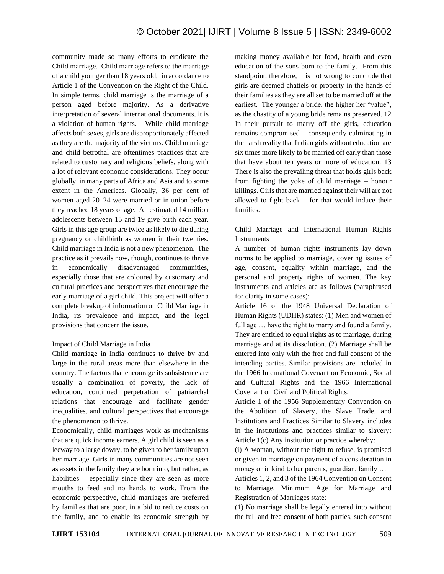community made so many efforts to eradicate the Child marriage. Child marriage refers to the marriage of a child younger than 18 years old, in accordance to Article 1 of the Convention on the Right of the Child. In simple terms, child marriage is the marriage of a person aged before majority. As a derivative interpretation of several international documents, it is a violation of human rights. While child marriage affects both sexes, girls are disproportionately affected as they are the majority of the victims. Child marriage and child betrothal are oftentimes practices that are related to customary and religious beliefs, along with a lot of relevant economic considerations. They occur globally, in many parts of Africa and Asia and to some extent in the Americas. Globally, 36 per cent of women aged 20–24 were married or in union before they reached 18 years of age. An estimated 14 million adolescents between 15 and 19 give birth each year. Girls in this age group are twice as likely to die during pregnancy or childbirth as women in their twenties. Child marriage in India is not a new phenomenon. The practice as it prevails now, though, continues to thrive in economically disadvantaged communities, especially those that are coloured by customary and cultural practices and perspectives that encourage the early marriage of a girl child. This project will offer a complete breakup of information on Child Marriage in India, its prevalence and impact, and the legal provisions that concern the issue.

# Impact of Child Marriage in India

Child marriage in India continues to thrive by and large in the rural areas more than elsewhere in the country. The factors that encourage its subsistence are usually a combination of poverty, the lack of education, continued perpetration of patriarchal relations that encourage and facilitate gender inequalities, and cultural perspectives that encourage the phenomenon to thrive.

Economically, child marriages work as mechanisms that are quick income earners. A girl child is seen as a leeway to a large dowry, to be given to her family upon her marriage. Girls in many communities are not seen as assets in the family they are born into, but rather, as liabilities – especially since they are seen as more mouths to feed and no hands to work. From the economic perspective, child marriages are preferred by families that are poor, in a bid to reduce costs on the family, and to enable its economic strength by making money available for food, health and even education of the sons born to the family. From this standpoint, therefore, it is not wrong to conclude that girls are deemed chattels or property in the hands of their families as they are all set to be married off at the earliest. The younger a bride, the higher her "value", as the chastity of a young bride remains preserved. 12 In their pursuit to marry off the girls, education remains compromised – consequently culminating in the harsh reality that Indian girls without education are six times more likely to be married off early than those that have about ten years or more of education. 13 There is also the prevailing threat that holds girls back from fighting the yoke of child marriage – honour killings. Girls that are married against their will are not allowed to fight back – for that would induce their families.

# Child Marriage and International Human Rights Instruments

A number of human rights instruments lay down norms to be applied to marriage, covering issues of age, consent, equality within marriage, and the personal and property rights of women. The key instruments and articles are as follows (paraphrased for clarity in some cases):

Article 16 of the 1948 Universal Declaration of Human Rights (UDHR) states: (1) Men and women of full age … have the right to marry and found a family. They are entitled to equal rights as to marriage, during marriage and at its dissolution. (2) Marriage shall be entered into only with the free and full consent of the intending parties. Similar provisions are included in the 1966 International Covenant on Economic, Social and Cultural Rights and the 1966 International Covenant on Civil and Political Rights.

Article 1 of the 1956 Supplementary Convention on the Abolition of Slavery, the Slave Trade, and Institutions and Practices Similar to Slavery includes in the institutions and practices similar to slavery: Article 1(c) Any institution or practice whereby:

(i) A woman, without the right to refuse, is promised or given in marriage on payment of a consideration in money or in kind to her parents, guardian, family …

Articles 1, 2, and 3 of the 1964 Convention on Consent to Marriage, Minimum Age for Marriage and Registration of Marriages state:

(1) No marriage shall be legally entered into without the full and free consent of both parties, such consent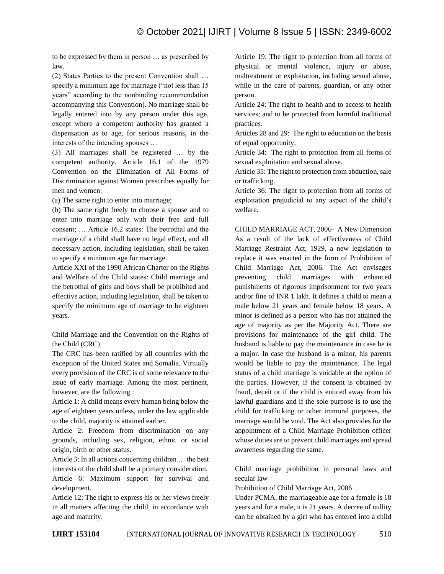to be expressed by them in person … as prescribed by law.

(2) States Parties to the present Convention shall … specify a minimum age for marriage ("not less than 15 years" according to the nonbinding recommendation accompanying this Convention). No marriage shall be legally entered into by any person under this age, except where a competent authority has granted a dispensation as to age, for serious reasons, in the interests of the intending spouses …

(3) All marriages shall be registered … by the competent authority. Article 16.1 of the 1979 Convention on the Elimination of All Forms of Discrimination against Women prescribes equally for men and women:

(a) The same right to enter into marriage;

(b) The same right freely to choose a spouse and to enter into marriage only with their free and full consent; … Article 16.2 states: The betrothal and the marriage of a child shall have no legal effect, and all necessary action, including legislation, shall be taken to specify a minimum age for marriage.

Article XXI of the 1990 African Charter on the Rights and Welfare of the Child states: Child marriage and the betrothal of girls and boys shall be prohibited and effective action, including legislation, shall be taken to specify the minimum age of marriage to be eighteen years.

Child Marriage and the Convention on the Rights of the Child (CRC)

The CRC has been ratified by all countries with the exception of the United States and Somalia. Virtually every provision of the CRC is of some relevance to the issue of early marriage. Among the most pertinent, however, are the following :

Article 1: A child means every human being below the age of eighteen years unless, under the law applicable to the child, majority is attained earlier.

Article 2: Freedom from discrimination on any grounds, including sex, religion, ethnic or social origin, birth or other status.

Article 3: In all actions concerning children … the best interests of the child shall be a primary consideration. Article 6: Maximum support for survival and development.

Article 12: The right to express his or her views freely in all matters affecting the child, in accordance with age and maturity.

Article 19: The right to protection from all forms of physical or mental violence, injury or abuse, maltreatment or exploitation, including sexual abuse, while in the care of parents, guardian, or any other person.

Article 24: The right to health and to access to health services; and to be protected from harmful traditional practices.

Articles 28 and 29: The right to education on the basis of equal opportunity.

Article 34: The right to protection from all forms of sexual exploitation and sexual abuse.

Article 35: The right to protection from abduction, sale or trafficking.

Article 36: The right to protection from all forms of exploitation prejudicial to any aspect of the child's welfare.

CHILD MARRIAGE ACT, 2006- A New Dimension As a result of the lack of effectiveness of Child Marriage Restraint Act, 1929, a new legislation to replace it was enacted in the form of Prohibition of Child Marriage Act, 2006. The Act envisages preventing child marriages with enhanced punishments of rigorous imprisonment for two years and/or fine of INR 1 lakh. It defines a child to mean a male below 21 years and female below 18 years. A minor is defined as a person who has not attained the age of majority as per the Majority Act. There are provisions for maintenance of the girl child. The husband is liable to pay the maintenance in case he is a major. In case the husband is a minor, his parents would be liable to pay the maintenance. The legal status of a child marriage is voidable at the option of the parties. However, if the consent is obtained by fraud, deceit or if the child is enticed away from his lawful guardians and if the sole purpose is to use the child for trafficking or other immoral purposes, the marriage would be void. The Act also provides for the appointment of a Child Marriage Prohibition officer whose duties are to prevent child marriages and spread awareness regarding the same.

Child marriage prohibition in personal laws and secular law

Prohibition of Child Marriage Act, 2006

Under PCMA, the marriageable age for a female is 18 years and for a male, it is 21 years. A decree of nullity can be obtained by a girl who has entered into a child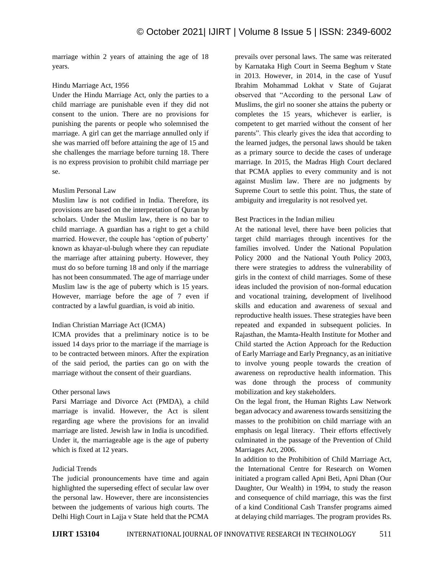marriage within 2 years of attaining the age of 18 years.

# Hindu Marriage Act, 1956

Under the Hindu Marriage Act, only the parties to a child marriage are punishable even if they did not consent to the union. There are no provisions for punishing the parents or people who solemnised the marriage. A girl can get the marriage annulled only if she was married off before attaining the age of 15 and she challenges the marriage before turning 18. There is no express provision to prohibit child marriage per se.

### Muslim Personal Law

Muslim law is not codified in India. Therefore, its provisions are based on the interpretation of Quran by scholars. Under the Muslim law, there is no bar to child marriage. A guardian has a right to get a child married. However, the couple has 'option of puberty' known as khayar-ul-bulugh where they can repudiate the marriage after attaining puberty. However, they must do so before turning 18 and only if the marriage has not been consummated. The age of marriage under Muslim law is the age of puberty which is 15 years. However, marriage before the age of 7 even if contracted by a lawful guardian, is void ab initio.

### Indian Christian Marriage Act (ICMA)

ICMA provides that a preliminary notice is to be issued 14 days prior to the marriage if the marriage is to be contracted between minors. After the expiration of the said period, the parties can go on with the marriage without the consent of their guardians.

### Other personal laws

Parsi Marriage and Divorce Act (PMDA), a child marriage is invalid. However, the Act is silent regarding age where the provisions for an invalid marriage are listed. Jewish law in India is uncodified. Under it, the marriageable age is the age of puberty which is fixed at 12 years.

### Judicial Trends

The judicial pronouncements have time and again highlighted the superseding effect of secular law over the personal law. However, there are inconsistencies between the judgements of various high courts. The Delhi High Court in Lajja v State held that the PCMA prevails over personal laws. The same was reiterated by Karnataka High Court in Seema Beghum v State in 2013. However, in 2014, in the case of Yusuf Ibrahim Mohammad Lokhat v State of Gujarat observed that "According to the personal Law of Muslims, the girl no sooner she attains the puberty or completes the 15 years, whichever is earlier, is competent to get married without the consent of her parents". This clearly gives the idea that according to the learned judges, the personal laws should be taken as a primary source to decide the cases of underage marriage. In 2015, the Madras High Court declared that PCMA applies to every community and is not against Muslim law. There are no judgments by Supreme Court to settle this point. Thus, the state of ambiguity and irregularity is not resolved yet.

# Best Practices in the Indian milieu

At the national level, there have been policies that target child marriages through incentives for the families involved. Under the National Population Policy 2000 and the National Youth Policy 2003, there were strategies to address the vulnerability of girls in the context of child marriages. Some of these ideas included the provision of non-formal education and vocational training, development of livelihood skills and education and awareness of sexual and reproductive health issues. These strategies have been repeated and expanded in subsequent policies. In Rajasthan, the Mamta-Health Institute for Mother and Child started the Action Approach for the Reduction of Early Marriage and Early Pregnancy, as an initiative to involve young people towards the creation of awareness on reproductive health information. This was done through the process of community mobilization and key stakeholders.

On the legal front, the Human Rights Law Network began advocacy and awareness towards sensitizing the masses to the prohibition on child marriage with an emphasis on legal literacy. Their efforts effectively culminated in the passage of the Prevention of Child Marriages Act, 2006.

In addition to the Prohibition of Child Marriage Act, the International Centre for Research on Women initiated a program called Apni Beti, Apni Dhan (Our Daughter, Our Wealth) in 1994, to study the reason and consequence of child marriage, this was the first of a kind Conditional Cash Transfer programs aimed at delaying child marriages. The program provides Rs.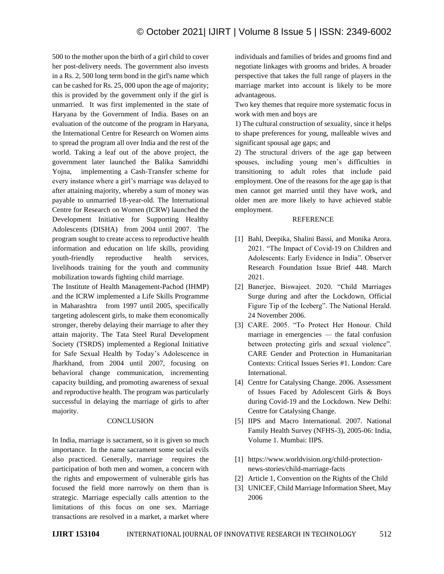# © October 2021| IJIRT | Volume 8 Issue 5 | ISSN: 2349-6002

500 to the mother upon the birth of a girl child to cover her post-delivery needs. The government also invests in a Rs. 2, 500 long term bond in the girl's name which can be cashed for Rs. 25, 000 upon the age of majority; this is provided by the government only if the girl is unmarried. It was first implemented in the state of Haryana by the Government of India. Bases on an evaluation of the outcome of the program in Haryana, the International Centre for Research on Women aims to spread the program all over India and the rest of the world. Taking a leaf out of the above project, the government later launched the Balika Samriddhi Yojna, implementing a Cash-Transfer scheme for every instance where a girl's marriage was delayed to after attaining majority, whereby a sum of money was payable to unmarried 18-year-old. The International Centre for Research on Women (ICRW) launched the Development Initiative for Supporting Healthy Adolescents (DISHA) from 2004 until 2007. The program sought to create access to reproductive health information and education on life skills, providing youth-friendly reproductive health services, livelihoods training for the youth and community mobilization towards fighting child marriage.

The Institute of Health Management-Pachod (IHMP) and the ICRW implemented a Life Skills Programme in Maharashtra from 1997 until 2005, specifically targeting adolescent girls, to make them economically stronger, thereby delaying their marriage to after they attain majority. The Tata Steel Rural Development Society (TSRDS) implemented a Regional Initiative for Safe Sexual Health by Today's Adolescence in Jharkhand, from 2004 until 2007, focusing on behavioral change communication, incrementing capacity building, and promoting awareness of sexual and reproductive health. The program was particularly successful in delaying the marriage of girls to after majority.

#### **CONCLUSION**

In India, marriage is sacrament, so it is given so much importance. In the name sacrament some social evils also practiced. Generally, marriage requires the participation of both men and women, a concern with the rights and empowerment of vulnerable girls has focused the field more narrowly on them than is strategic. Marriage especially calls attention to the limitations of this focus on one sex. Marriage transactions are resolved in a market, a market where individuals and families of brides and grooms find and negotiate linkages with grooms and brides. A broader perspective that takes the full range of players in the marriage market into account is likely to be more advantageous.

Two key themes that require more systematic focus in work with men and boys are

1) The cultural construction of sexuality, since it helps to shape preferences for young, malleable wives and significant spousal age gaps; and

2) The structural drivers of the age gap between spouses, including young men's difficulties in transitioning to adult roles that include paid employment. One of the reasons for the age gap is that men cannot get married until they have work, and older men are more likely to have achieved stable employment.

#### REFERENCE

- [1] Bahl, Deepika, Shalini Bassi, and Monika Arora. 2021. "The Impact of Covid-19 on Children and Adolescents: Early Evidence in India". Observer Research Foundation Issue Brief 448. March 2021.
- [2] Banerjee, Biswajeet. 2020. "Child Marriages Surge during and after the Lockdown, Official Figure Tip of the Iceberg". The National Herald. 24 November 2006.
- [3] CARE. 2005. "To Protect Her Honour. Child marriage in emergencies — the fatal confusion between protecting girls and sexual violence". CARE Gender and Protection in Humanitarian Contexts: Critical Issues Series #1. London: Care International.
- [4] Centre for Catalysing Change. 2006. Assessment of Issues Faced by Adolescent Girls & Boys during Covid-19 and the Lockdown. New Delhi: Centre for Catalysing Change.
- [5] IIPS and Macro International. 2007. National Family Health Survey (NFHS-3), 2005-06: India, Volume 1. Mumbai: IIPS.
- [1] https://www.worldvision.org/child-protectionnews-stories/child-marriage-facts
- [2] Article 1, Convention on the Rights of the Child
- [3] UNICEF, Child Marriage Information Sheet, May 2006